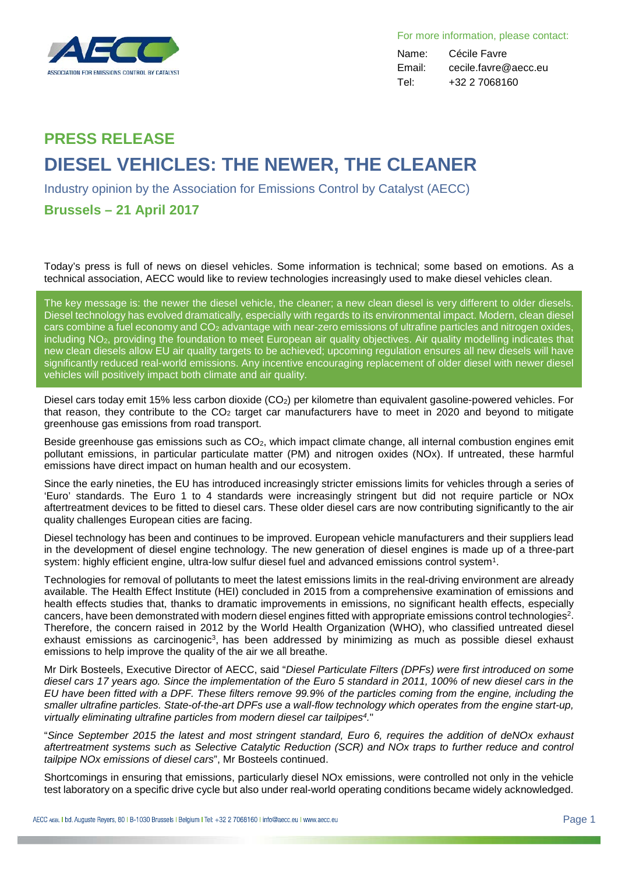

For more information, please contact:

Name: Cécile Favre Email: cecile.favre@aecc.eu Tel: +32 2 7068160

## **PRESS RELEASE DIESEL VEHICLES: THE NEWER, THE CLEANER**

Industry opinion by the Association for Emissions Control by Catalyst (AECC)

## **Brussels – 21 April 2017**

Today's press is full of news on diesel vehicles. Some information is technical; some based on emotions. As a technical association, AECC would like to review technologies increasingly used to make diesel vehicles clean.

The key message is: the newer the diesel vehicle, the cleaner; a new clean diesel is very different to older diesels. Diesel technology has evolved dramatically, especially with regards to its environmental impact. Modern, clean diesel cars combine a fuel economy and CO<sub>2</sub> advantage with near-zero emissions of ultrafine particles and nitrogen oxides, including NO2, providing the foundation to meet European air quality objectives. Air quality modelling indicates that new clean diesels allow EU air quality targets to be achieved; upcoming regulation ensures all new diesels will have significantly reduced real-world emissions. Any incentive encouraging replacement of older diesel with newer diesel vehicles will positively impact both climate and air quality.

Diesel cars today emit 15% less carbon dioxide (CO<sub>2</sub>) per kilometre than equivalent gasoline-powered vehicles. For that reason, they contribute to the  $CO<sub>2</sub>$  target car manufacturers have to meet in 2020 and beyond to mitigate greenhouse gas emissions from road transport.

Beside greenhouse gas emissions such as CO<sub>2</sub>, which impact climate change, all internal combustion engines emit pollutant emissions, in particular particulate matter (PM) and nitrogen oxides (NOx). If untreated, these harmful emissions have direct impact on human health and our ecosystem.

Since the early nineties, the EU has introduced increasingly stricter emissions limits for vehicles through a series of 'Euro' standards. The Euro 1 to 4 standards were increasingly stringent but did not require particle or NOx aftertreatment devices to be fitted to diesel cars. These older diesel cars are now contributing significantly to the air quality challenges European cities are facing.

Diesel technology has been and continues to be improved. European vehicle manufacturers and their suppliers lead in the development of diesel engine technology. The new generation of diesel engines is made up of a three-part system: highly efficient engine, ultra-low sulfur diesel fuel and advanced emissions control system1.

Technologies for removal of pollutants to meet the latest emissions limits in the real-driving environment are already available. The Health Effect Institute (HEI) concluded in 2015 from a comprehensive examination of emissions and health effects studies that, thanks to dramatic improvements in emissions, no significant health effects, especially cancers, have been demonstrated with modern diesel engines fitted with appropriate emissions control technologies2. Therefore, the concern raised in 2012 by the World Health Organization (WHO), who classified untreated diesel exhaust emissions as carcinogenic<sup>3</sup>, has been addressed by minimizing as much as possible diesel exhaust emissions to help improve the quality of the air we all breathe.

Mr Dirk Bosteels, Executive Director of AECC, said "*Diesel Particulate Filters (DPFs) were first introduced on some diesel cars 17 years ago. Since the implementation of the Euro 5 standard in 2011, 100% of new diesel cars in the EU have been fitted with a DPF. These filters remove 99.9% of the particles coming from the engine, including the smaller ultrafine particles. State-of-the-art DPFs use a wall-flow technology which operates from the engine start-up, virtually eliminating ultrafine particles from modern diesel car tailpipes4.*"

"*Since September 2015 the latest and most stringent standard, Euro 6, requires the addition of deNOx exhaust aftertreatment systems such as Selective Catalytic Reduction (SCR) and NOx traps to further reduce and control tailpipe NOx emissions of diesel cars*", Mr Bosteels continued.

Shortcomings in ensuring that emissions, particularly diesel NOx emissions, were controlled not only in the vehicle test laboratory on a specific drive cycle but also under real-world operating conditions became widely acknowledged.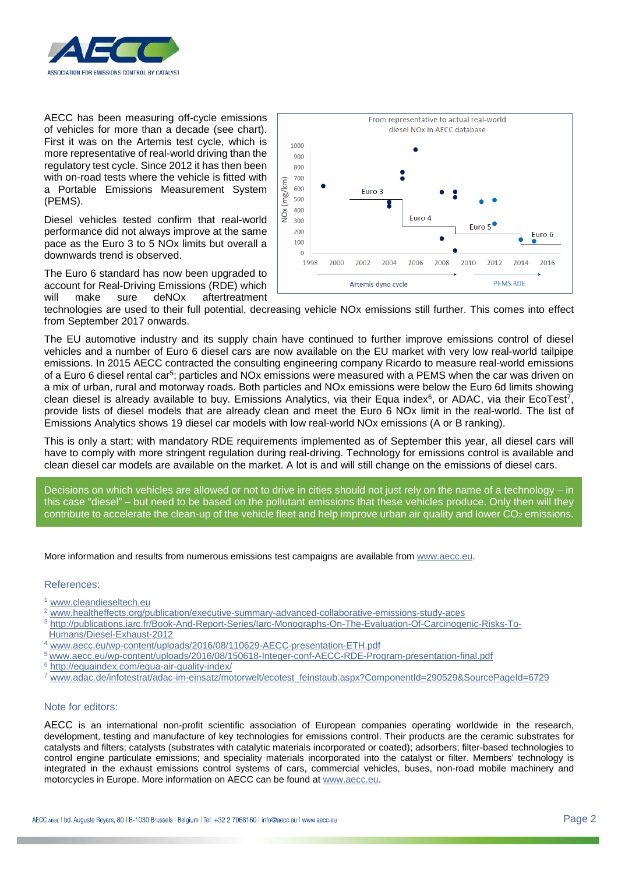

AECC has been measuring off-cycle emissions of vehicles for more than a decade (see chart). First it was on the Artemis test cycle, which is more representative of real-world driving than the regulatory test cycle. Since 2012 it has then been with on-road tests where the vehicle is fitted with a Portable Emissions Measurement System (PEMS).

Diesel vehicles tested confirm that real-world performance did not always improve at the same pace as the Euro 3 to 5 NOx limits but overall a downwards trend is observed.

The Euro 6 standard has now been upgraded to account for Real-Driving Emissions (RDE) which will make sure deNOx aftertreatment



technologies are used to their full potential, decreasing vehicle NOx emissions still further. This comes into effect from September 2017 onwards.

The EU automotive industry and its supply chain have continued to further improve emissions control of diesel vehicles and a number of Euro 6 diesel cars are now available on the EU market with very low real-world tailpipe emissions. In 2015 AECC contracted the consulting engineering company Ricardo to measure real-world emissions of a Euro 6 diesel rental car<sup>5</sup>; particles and NOx emissions were measured with a PEMS when the car was driven on a mix of urban, rural and motorway roads. Both particles and NOx emissions were below the Euro 6d limits showing clean diesel is already available to buy. Emissions Analytics, via their Equa index<sup>6</sup>, or ADAC, via their EcoTest<sup>7</sup>, provide lists of diesel models that are already clean and meet the Euro 6 NOx limit in the real-world. The list of Emissions Analytics shows 19 diesel car models with low real-world NOx emissions (A or B ranking).

This is only a start; with mandatory RDE requirements implemented as of September this year, all diesel cars will have to comply with more stringent regulation during real-driving. Technology for emissions control is available and clean diesel car models are available on the market. A lot is and will still change on the emissions of diesel cars.

Decisions on which vehicles are allowed or not to drive in cities should not just rely on the name of a technology – in this case "diesel" – but need to be based on the pollutant emissions that these vehicles produce. Only then will they contribute to accelerate the clean-up of the vehicle fleet and help improve urban air quality and lower  $CO<sub>2</sub>$  emissions.

More information and results from numerous emissions test campaigns are available fro[m www.aecc.eu.](http://www.aecc.eu/)

## References:

- <sup>1</sup> [www.cleandieseltech.eu](http://www.cleandieseltech.eu/)
- <sup>2</sup> [www.healtheffects.org/publication/executive-summary-advanced-collaborative-emissions-study-aces](http://www.healtheffects.org/publication/executive-summary-advanced-collaborative-emissions-study-aces)
- <sup>3</sup> [http://publications.iarc.fr/Book-And-Report-Series/Iarc-Monographs-On-The-Evaluation-Of-Carcinogenic-Risks-To-](http://publications.iarc.fr/Book-And-Report-Series/Iarc-Monographs-On-The-Evaluation-Of-Carcinogenic-Risks-To-Humans/Diesel-Exhaust-2012)[Humans/Diesel-Exhaust-2012](http://publications.iarc.fr/Book-And-Report-Series/Iarc-Monographs-On-The-Evaluation-Of-Carcinogenic-Risks-To-Humans/Diesel-Exhaust-2012)
- <sup>4</sup> [www.aecc.eu/wp-content/uploads/2016/08/110629-AECC-presentation-ETH.pdf](http://www.aecc.eu/wp-content/uploads/2016/08/110629-AECC-presentation-ETH.pdf)
- <sup>5</sup> [www.aecc.eu/wp-content/uploads/2016/08/150618-Integer-conf-AECC-RDE-Program-presentation-final.pdf](http://www.aecc.eu/wp-content/uploads/2016/08/150618-Integer-conf-AECC-RDE-Program-presentation-final.pdf)
- <sup>6</sup> <http://equaindex.com/equa-air-quality-index/>
- <sup>7</sup> [www.adac.de/infotestrat/adac-im-einsatz/motorwelt/ecotest\\_feinstaub.aspx?ComponentId=290529&SourcePageId=6729](http://www.adac.de/infotestrat/adac-im-einsatz/motorwelt/ecotest_feinstaub.aspx?ComponentId=290529&SourcePageId=6729)

## Note for editors:

AECC is an international non-profit scientific association of European companies operating worldwide in the research, development, testing and manufacture of key technologies for emissions control. Their products are the ceramic substrates for catalysts and filters; catalysts (substrates with catalytic materials incorporated or coated); adsorbers; filter-based technologies to control engine particulate emissions; and speciality materials incorporated into the catalyst or filter. Members' technology is integrated in the exhaust emissions control systems of cars, commercial vehicles, buses, non-road mobile machinery and motorcycles in Europe. More information on AECC can be found at [www.aecc.eu.](http://www.aecc.eu/)